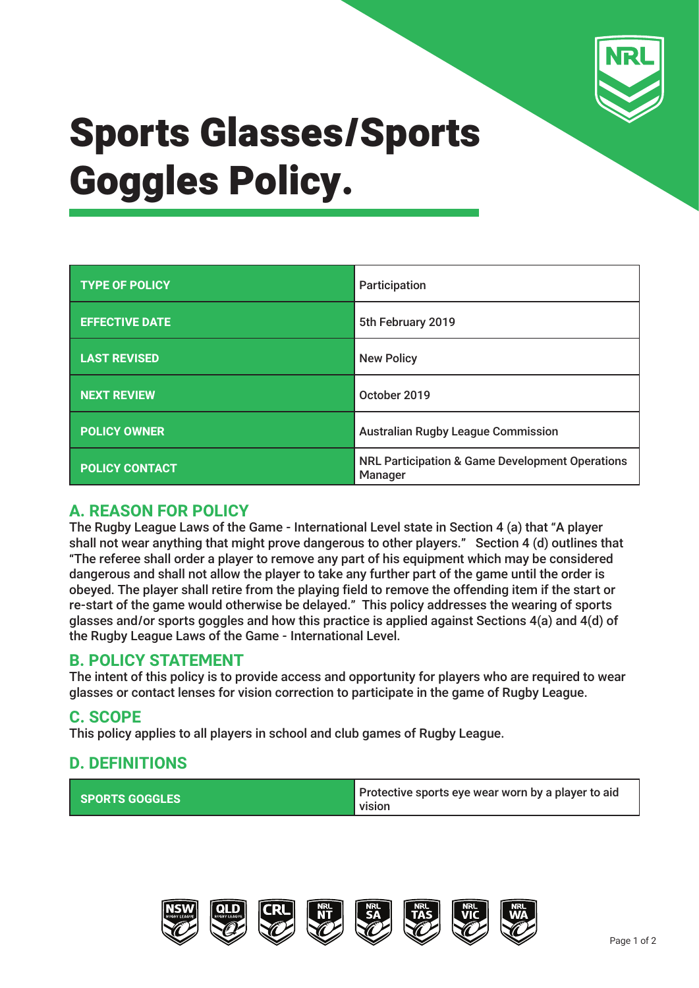

# Sports Glasses/Sports Goggles Policy.

| <b>TYPE OF POLICY</b> | Participation                                                         |  |
|-----------------------|-----------------------------------------------------------------------|--|
| <b>EFFECTIVE DATE</b> | 5th February 2019                                                     |  |
| <b>LAST REVISED</b>   | <b>New Policy</b>                                                     |  |
| <b>NEXT REVIEW</b>    | October 2019                                                          |  |
| <b>POLICY OWNER</b>   | <b>Australian Rugby League Commission</b>                             |  |
| <b>POLICY CONTACT</b> | <b>NRL Participation &amp; Game Development Operations</b><br>Manager |  |

### **A. REASON FOR POLICY**

The Rugby League Laws of the Game - International Level state in Section 4 (a) that "A player shall not wear anything that might prove dangerous to other players." Section 4 (d) outlines that "The referee shall order a player to remove any part of his equipment which may be considered dangerous and shall not allow the player to take any further part of the game until the order is obeyed. The player shall retire from the playing field to remove the offending item if the start or re-start of the game would otherwise be delayed." This policy addresses the wearing of sports glasses and/or sports goggles and how this practice is applied against Sections 4(a) and 4(d) of the Rugby League Laws of the Game - International Level.

### **B. POLICY STATEMENT**

The intent of this policy is to provide access and opportunity for players who are required to wear glasses or contact lenses for vision correction to participate in the game of Rugby League.

### **C. SCOPE**

This policy applies to all players in school and club games of Rugby League.

## **D. DEFINITIONS**

| <b>SPORTS GOGGLES</b> | Protective sports eye wear worn by a player to aid<br>l vision |
|-----------------------|----------------------------------------------------------------|
|-----------------------|----------------------------------------------------------------|